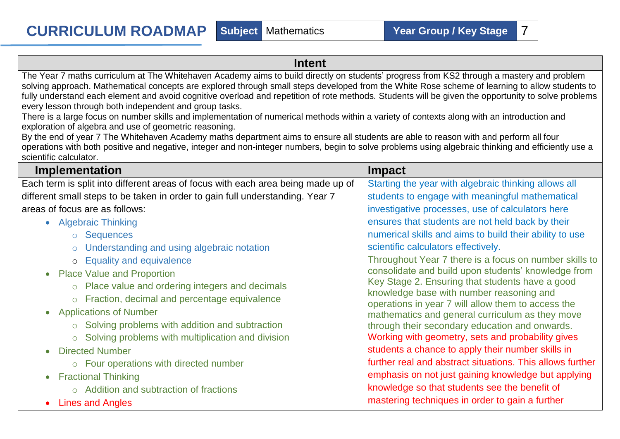## **Intent**

The Year 7 maths curriculum at The Whitehaven Academy aims to build directly on students' progress from KS2 through a mastery and problem solving approach. Mathematical concepts are explored through small steps developed from the White Rose scheme of learning to allow students to fully understand each element and avoid cognitive overload and repetition of rote methods. Students will be given the opportunity to solve problems every lesson through both independent and group tasks.

There is a large focus on number skills and implementation of numerical methods within a variety of contexts along with an introduction and exploration of algebra and use of geometric reasoning.

By the end of year 7 The Whitehaven Academy maths department aims to ensure all students are able to reason with and perform all four operations with both positive and negative, integer and non-integer numbers, begin to solve problems using algebraic thinking and efficiently use a scientific calculator.

| Implementation                                                                   | <b>Impact</b>                                                                               |  |  |
|----------------------------------------------------------------------------------|---------------------------------------------------------------------------------------------|--|--|
| Each term is split into different areas of focus with each area being made up of | Starting the year with algebraic thinking allows all                                        |  |  |
| different small steps to be taken in order to gain full understanding. Year 7    | students to engage with meaningful mathematical                                             |  |  |
| areas of focus are as follows:                                                   | investigative processes, use of calculators here                                            |  |  |
| • Algebraic Thinking                                                             | ensures that students are not held back by their                                            |  |  |
| ○ Sequences                                                                      | numerical skills and aims to build their ability to use                                     |  |  |
| o Understanding and using algebraic notation                                     | scientific calculators effectively.                                                         |  |  |
| o Equality and equivalence                                                       | Throughout Year 7 there is a focus on number skills to                                      |  |  |
| • Place Value and Proportion                                                     | consolidate and build upon students' knowledge from                                         |  |  |
| o Place value and ordering integers and decimals                                 | Key Stage 2. Ensuring that students have a good<br>knowledge base with number reasoning and |  |  |
| o Fraction, decimal and percentage equivalence                                   | operations in year 7 will allow them to access the                                          |  |  |
| • Applications of Number                                                         | mathematics and general curriculum as they move                                             |  |  |
| $\circ$ Solving problems with addition and subtraction                           | through their secondary education and onwards.                                              |  |  |
| $\circ$ Solving problems with multiplication and division                        | Working with geometry, sets and probability gives                                           |  |  |
| <b>Directed Number</b><br>$\bullet$                                              | students a chance to apply their number skills in                                           |  |  |
| $\circ$ Four operations with directed number                                     | further real and abstract situations. This allows further                                   |  |  |
| • Fractional Thinking                                                            | emphasis on not just gaining knowledge but applying                                         |  |  |
| $\circ$ Addition and subtraction of fractions                                    | knowledge so that students see the benefit of                                               |  |  |
| <b>Lines and Angles</b>                                                          | mastering techniques in order to gain a further                                             |  |  |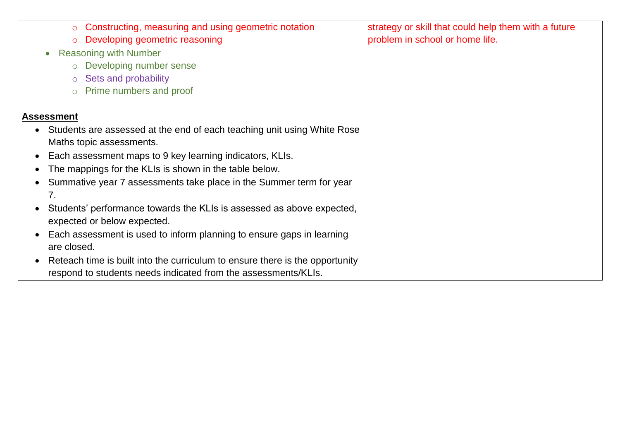| Constructing, measuring and using geometric notation<br>$\circ$<br>Developing geometric reasoning<br>$\circ$<br><b>Reasoning with Number</b><br>$\bullet$<br>Developing number sense<br>$\circ$<br>Sets and probability<br>$\circ$<br>Prime numbers and proof<br>$\circ$                                                                                                                                                                                                                                                                                         | strategy or skill that could help them with a future<br>problem in school or home life. |
|------------------------------------------------------------------------------------------------------------------------------------------------------------------------------------------------------------------------------------------------------------------------------------------------------------------------------------------------------------------------------------------------------------------------------------------------------------------------------------------------------------------------------------------------------------------|-----------------------------------------------------------------------------------------|
| <b>Assessment</b><br>Students are assessed at the end of each teaching unit using White Rose<br>$\bullet$<br>Maths topic assessments.<br>Each assessment maps to 9 key learning indicators, KLIs.<br>$\bullet$<br>The mappings for the KLIs is shown in the table below.<br>$\bullet$<br>Summative year 7 assessments take place in the Summer term for year<br>$\bullet$<br>7.<br>Students' performance towards the KLIs is assessed as above expected,<br>expected or below expected.<br>Each assessment is used to inform planning to ensure gaps in learning |                                                                                         |
| are closed.<br>Reteach time is built into the curriculum to ensure there is the opportunity<br>$\bullet$<br>respond to students needs indicated from the assessments/KLIs.                                                                                                                                                                                                                                                                                                                                                                                       |                                                                                         |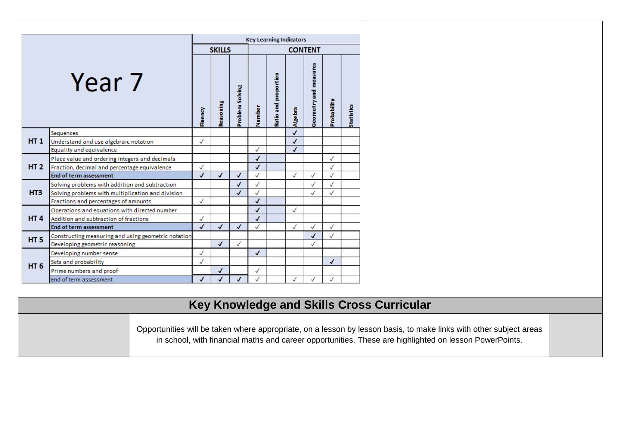|                 |                                                                                                                    |              |               |                 |                | <b>Key Learning Indicators</b> |         |              |              |                                                  |
|-----------------|--------------------------------------------------------------------------------------------------------------------|--------------|---------------|-----------------|----------------|--------------------------------|---------|--------------|--------------|--------------------------------------------------|
|                 |                                                                                                                    |              | <b>SKILLS</b> |                 | <b>CONTENT</b> |                                |         |              |              |                                                  |
|                 |                                                                                                                    |              |               |                 |                |                                |         |              |              |                                                  |
|                 |                                                                                                                    |              |               |                 |                |                                |         |              |              |                                                  |
|                 | Year 7                                                                                                             |              |               |                 |                |                                |         | measures     |              |                                                  |
|                 |                                                                                                                    |              |               |                 |                |                                |         |              |              |                                                  |
|                 |                                                                                                                    |              |               |                 |                |                                |         |              |              |                                                  |
|                 |                                                                                                                    |              |               |                 |                |                                |         |              |              |                                                  |
|                 |                                                                                                                    | Fluency      | Reasoning     | Problem Solving | Number         | Ratio and proportion           | Algebra | Geometry and | Probability  | <b>Statistics</b>                                |
|                 |                                                                                                                    |              |               |                 |                |                                |         |              |              |                                                  |
|                 | Sequences                                                                                                          |              |               |                 |                |                                |         |              |              |                                                  |
| HT1             | Understand and use algebraic notation                                                                              | $\checkmark$ |               |                 |                |                                | √       |              |              |                                                  |
|                 | Equality and equivalence                                                                                           |              |               |                 | $\checkmark$   |                                | √       |              |              |                                                  |
|                 | Place value and ordering integers and decimals                                                                     |              |               |                 | √              |                                |         |              |              |                                                  |
|                 | HT 2 Fraction, decimal and percentage equivalence                                                                  | $\checkmark$ |               |                 | J              |                                |         |              | √            |                                                  |
|                 | End of term assessment                                                                                             | √            |               | ✓               | $\checkmark$   |                                | √       |              | √            |                                                  |
|                 | Solving problems with addition and subtraction                                                                     |              |               | √               | $\checkmark$   |                                |         |              | ✓            |                                                  |
| HT3             | Solving problems with multiplication and division                                                                  |              |               | $\checkmark$    | $\checkmark$   |                                |         |              | √            |                                                  |
|                 | Fractions and percentages of amounts                                                                               | √            |               |                 | √              |                                |         |              |              |                                                  |
|                 | Operations and equations with directed number                                                                      |              |               |                 | J              |                                | √       |              |              |                                                  |
| HT <sub>4</sub> | Addition and subtraction of fractions                                                                              | √<br>J       |               | $\checkmark$    | √              |                                |         |              | $\checkmark$ |                                                  |
|                 | <b>End of term assessment</b>                                                                                      |              | J             |                 |                |                                |         |              |              |                                                  |
| HT <sub>5</sub> | Constructing measuring and using geometric notation<br>Developing geometric reasoning                              |              | J             | $\checkmark$    |                |                                |         | √            | √            |                                                  |
|                 |                                                                                                                    | √            |               |                 | √              |                                |         |              |              |                                                  |
|                 | Developing number sense<br>Sets and probability                                                                    |              |               |                 |                |                                |         |              | J            |                                                  |
| HT <sub>6</sub> | Prime numbers and proof                                                                                            |              |               |                 | √              |                                |         |              |              |                                                  |
|                 | End of term assessment                                                                                             |              |               |                 |                |                                |         |              |              |                                                  |
|                 |                                                                                                                    |              |               |                 |                |                                |         |              |              |                                                  |
|                 |                                                                                                                    |              |               |                 |                |                                |         |              |              |                                                  |
|                 |                                                                                                                    |              |               |                 |                |                                |         |              |              | <b>Key Knowledge and Skills Cross Curricular</b> |
|                 |                                                                                                                    |              |               |                 |                |                                |         |              |              |                                                  |
|                 |                                                                                                                    |              |               |                 |                |                                |         |              |              |                                                  |
|                 | Opportunities will be taken where appropriate, on a lesson by lesson basis, to make links with other subject areas |              |               |                 |                |                                |         |              |              |                                                  |
|                 | in school, with financial maths and career opportunities. These are highlighted on lesson PowerPoints.             |              |               |                 |                |                                |         |              |              |                                                  |
|                 |                                                                                                                    |              |               |                 |                |                                |         |              |              |                                                  |
|                 |                                                                                                                    |              |               |                 |                |                                |         |              |              |                                                  |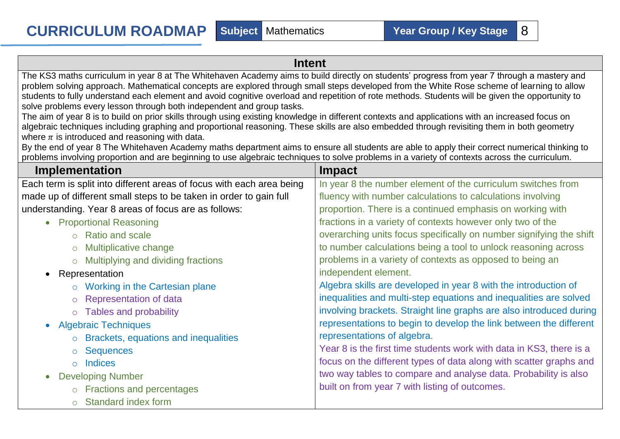## **Intent**

The KS3 maths curriculum in year 8 at The Whitehaven Academy aims to build directly on students' progress from year 7 through a mastery and problem solving approach. Mathematical concepts are explored through small steps developed from the White Rose scheme of learning to allow students to fully understand each element and avoid cognitive overload and repetition of rote methods. Students will be given the opportunity to solve problems every lesson through both independent and group tasks.

The aim of year 8 is to build on prior skills through using existing knowledge in different contexts and applications with an increased focus on algebraic techniques including graphing and proportional reasoning. These skills are also embedded through revisiting them in both geometry where  $\pi$  is introduced and reasoning with data.

By the end of year 8 The Whitehaven Academy maths department aims to ensure all students are able to apply their correct numerical thinking to problems involving proportion and are beginning to use algebraic techniques to solve problems in a variety of contexts across the curriculum.

| <b>Implementation</b>                                                 | <b>Impact</b>                                                       |
|-----------------------------------------------------------------------|---------------------------------------------------------------------|
| Each term is split into different areas of focus with each area being | In year 8 the number element of the curriculum switches from        |
| made up of different small steps to be taken in order to gain full    | fluency with number calculations to calculations involving          |
| understanding. Year 8 areas of focus are as follows:                  | proportion. There is a continued emphasis on working with           |
| <b>Proportional Reasoning</b><br>$\bullet$                            | fractions in a variety of contexts however only two of the          |
| ○ Ratio and scale                                                     | overarching units focus specifically on number signifying the shift |
| $\circ$ Multiplicative change                                         | to number calculations being a tool to unlock reasoning across      |
| $\circ$ Multiplying and dividing fractions                            | problems in a variety of contexts as opposed to being an            |
| • Representation                                                      | independent element.                                                |
| $\circ$ Working in the Cartesian plane                                | Algebra skills are developed in year 8 with the introduction of     |
| ○ Representation of data                                              | inequalities and multi-step equations and inequalities are solved   |
| o Tables and probability                                              | involving brackets. Straight line graphs are also introduced during |
| • Algebraic Techniques                                                | representations to begin to develop the link between the different  |
| <b>Brackets, equations and inequalities</b><br>$\circ$                | representations of algebra.                                         |
| ○ Sequences                                                           | Year 8 is the first time students work with data in KS3, there is a |
| o Indices                                                             | focus on the different types of data along with scatter graphs and  |
| <b>Developing Number</b><br>$\bullet$                                 | two way tables to compare and analyse data. Probability is also     |
| o Fractions and percentages                                           | built on from year 7 with listing of outcomes.                      |
| <b>Standard index form</b>                                            |                                                                     |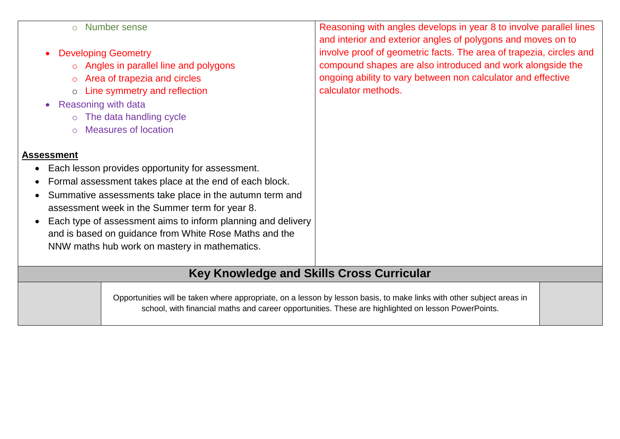| $\circ$                                          | <b>Number sense</b>                                                                                 | Reasoning with angles develops in year 8 to involve parallel lines                                                    |  |  |  |  |  |
|--------------------------------------------------|-----------------------------------------------------------------------------------------------------|-----------------------------------------------------------------------------------------------------------------------|--|--|--|--|--|
|                                                  |                                                                                                     | and interior and exterior angles of polygons and moves on to                                                          |  |  |  |  |  |
|                                                  | <b>Developing Geometry</b>                                                                          | involve proof of geometric facts. The area of trapezia, circles and                                                   |  |  |  |  |  |
| $\overline{O}$                                   | Angles in parallel line and polygons                                                                | compound shapes are also introduced and work alongside the                                                            |  |  |  |  |  |
| $\circ$                                          | Area of trapezia and circles                                                                        | ongoing ability to vary between non calculator and effective                                                          |  |  |  |  |  |
| $\circ$                                          | Line symmetry and reflection                                                                        | calculator methods.                                                                                                   |  |  |  |  |  |
| <b>Reasoning with data</b>                       |                                                                                                     |                                                                                                                       |  |  |  |  |  |
| $\circ$                                          | The data handling cycle                                                                             |                                                                                                                       |  |  |  |  |  |
| $\Omega$                                         | <b>Measures of location</b>                                                                         |                                                                                                                       |  |  |  |  |  |
|                                                  |                                                                                                     |                                                                                                                       |  |  |  |  |  |
| Assessment                                       |                                                                                                     |                                                                                                                       |  |  |  |  |  |
|                                                  | Each lesson provides opportunity for assessment.                                                    |                                                                                                                       |  |  |  |  |  |
|                                                  | Formal assessment takes place at the end of each block.                                             |                                                                                                                       |  |  |  |  |  |
|                                                  | Summative assessments take place in the autumn term and                                             |                                                                                                                       |  |  |  |  |  |
|                                                  | assessment week in the Summer term for year 8.                                                      |                                                                                                                       |  |  |  |  |  |
|                                                  | Each type of assessment aims to inform planning and delivery                                        |                                                                                                                       |  |  |  |  |  |
|                                                  | and is based on guidance from White Rose Maths and the                                              |                                                                                                                       |  |  |  |  |  |
| NNW maths hub work on mastery in mathematics.    |                                                                                                     |                                                                                                                       |  |  |  |  |  |
|                                                  |                                                                                                     |                                                                                                                       |  |  |  |  |  |
| <b>Key Knowledge and Skills Cross Curricular</b> |                                                                                                     |                                                                                                                       |  |  |  |  |  |
|                                                  |                                                                                                     |                                                                                                                       |  |  |  |  |  |
|                                                  |                                                                                                     | Opportunities will be taken where appropriate, on a lesson by lesson basis, to make links with other subject areas in |  |  |  |  |  |
|                                                  | school, with financial maths and career opportunities. These are highlighted on lesson PowerPoints. |                                                                                                                       |  |  |  |  |  |
|                                                  |                                                                                                     |                                                                                                                       |  |  |  |  |  |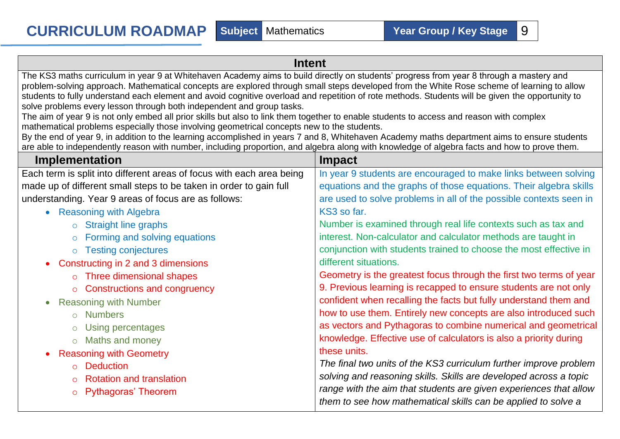## **Intent** The KS3 maths curriculum in year 9 at Whitehaven Academy aims to build directly on students' progress from year 8 through a mastery and problem-solving approach. Mathematical concepts are explored through small steps developed from the White Rose scheme of learning to allow students to fully understand each element and avoid cognitive overload and repetition of rote methods. Students will be given the opportunity to solve problems every lesson through both independent and group tasks.

The aim of year 9 is not only embed all prior skills but also to link them together to enable students to access and reason with complex mathematical problems especially those involving geometrical concepts new to the students.

By the end of year 9, in addition to the learning accomplished in years 7 and 8, Whitehaven Academy maths department aims to ensure students are able to independently reason with number, including proportion, and algebra along with knowledge of algebra facts and how to prove them.

| Implementation                                                        | <b>Impact</b>                                                      |
|-----------------------------------------------------------------------|--------------------------------------------------------------------|
| Each term is split into different areas of focus with each area being | In year 9 students are encouraged to make links between solving    |
| made up of different small steps to be taken in order to gain full    | equations and the graphs of those equations. Their algebra skills  |
| understanding. Year 9 areas of focus are as follows:                  | are used to solve problems in all of the possible contexts seen in |
| • Reasoning with Algebra                                              | KS3 so far.                                                        |
| $\circ$ Straight line graphs                                          | Number is examined through real life contexts such as tax and      |
| $\circ$ Forming and solving equations                                 | interest. Non-calculator and calculator methods are taught in      |
| <b>Testing conjectures</b>                                            | conjunction with students trained to choose the most effective in  |
| • Constructing in 2 and 3 dimensions                                  | different situations.                                              |
| $\circ$ Three dimensional shapes                                      | Geometry is the greatest focus through the first two terms of year |
| ○ Constructions and congruency                                        | 9. Previous learning is recapped to ensure students are not only   |
| <b>Reasoning with Number</b><br>$\bullet$                             | confident when recalling the facts but fully understand them and   |
| o Numbers                                                             | how to use them. Entirely new concepts are also introduced such    |
| $\circ$ Using percentages                                             | as vectors and Pythagoras to combine numerical and geometrical     |
| o Maths and money                                                     | knowledge. Effective use of calculators is also a priority during  |
| <b>Reasoning with Geometry</b>                                        | these units.                                                       |
| <b>O</b> Deduction                                                    | The final two units of the KS3 curriculum further improve problem  |
| $\circ$ Rotation and translation                                      | solving and reasoning skills. Skills are developed across a topic  |
| ○ Pythagoras' Theorem                                                 | range with the aim that students are given experiences that allow  |
|                                                                       | them to see how mathematical skills can be applied to solve a      |